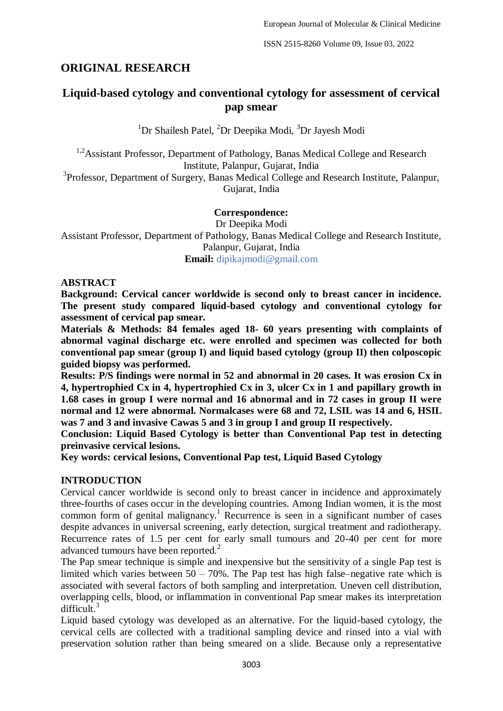# **ORIGINAL RESEARCH**

# **Liquid-based cytology and conventional cytology for assessment of cervical pap smear**

<sup>1</sup>Dr Shailesh Patel, <sup>2</sup>Dr Deepika Modi, <sup>3</sup>Dr Jayesh Modi

<sup>1,2</sup>Assistant Professor, Department of Pathology, Banas Medical College and Research Institute, Palanpur, Gujarat, India

<sup>3</sup>Professor, Department of Surgery, Banas Medical College and Research Institute, Palanpur, Gujarat, India

# **Correspondence:**

Dr Deepika Modi Assistant Professor, Department of Pathology, Banas Medical College and Research Institute, Palanpur, Gujarat, India **Email:** dipikajmodi@gmail.com

## **ABSTRACT**

**Background: Cervical cancer worldwide is second only to breast cancer in incidence. The present study compared liquid-based cytology and conventional cytology for assessment of cervical pap smear.** 

**Materials & Methods: 84 females aged 18- 60 years presenting with complaints of abnormal vaginal discharge etc. were enrolled and specimen was collected for both conventional pap smear (group I) and liquid based cytology (group II) then colposcopic guided biopsy was performed.** 

**Results: P/S findings were normal in 52 and abnormal in 20 cases. It was erosion Cx in 4, hypertrophied Cx in 4, hypertrophied Cx in 3, ulcer Cx in 1 and papillary growth in 1.68 cases in group I were normal and 16 abnormal and in 72 cases in group II were normal and 12 were abnormal. Normalcases were 68 and 72, LSIL was 14 and 6, HSIL was 7 and 3 and invasive Cawas 5 and 3 in group I and group II respectively.**

**Conclusion: Liquid Based Cytology is better than Conventional Pap test in detecting preinvasive cervical lesions.**

**Key words: cervical lesions, Conventional Pap test, Liquid Based Cytology**

# **INTRODUCTION**

Cervical cancer worldwide is second only to breast cancer in incidence and approximately three-fourths of cases occur in the developing countries. Among Indian women, it is the most common form of genital malignancy.<sup>1</sup> Recurrence is seen in a significant number of cases despite advances in universal screening, early detection, surgical treatment and radiotherapy. Recurrence rates of 1.5 per cent for early small tumours and 20-40 per cent for more advanced tumours have been reported.<sup>2</sup>

The Pap smear technique is simple and inexpensive but the sensitivity of a single Pap test is limited which varies between  $50 - 70\%$ . The Pap test has high false–negative rate which is associated with several factors of both sampling and interpretation. Uneven cell distribution, overlapping cells, blood, or inflammation in conventional Pap smear makes its interpretation difficult.<sup>3</sup>

Liquid based cytology was developed as an alternative. For the liquid-based cytology, the cervical cells are collected with a traditional sampling device and rinsed into a vial with preservation solution rather than being smeared on a slide. Because only a representative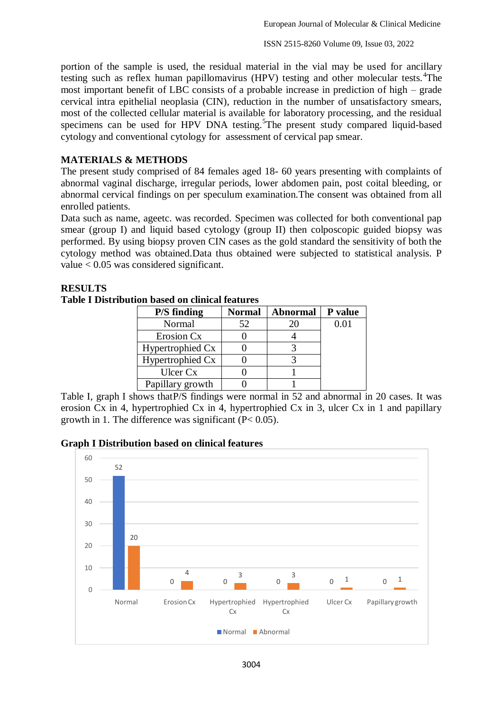portion of the sample is used, the residual material in the vial may be used for ancillary testing such as reflex human papillomavirus (HPV) testing and other molecular tests. <sup>4</sup>The most important benefit of LBC consists of a probable increase in prediction of high – grade cervical intra epithelial neoplasia (CIN), reduction in the number of unsatisfactory smears, most of the collected cellular material is available for laboratory processing, and the residual specimens can be used for HPV DNA testing.<sup>5</sup>The present study compared liquid-based cytology and conventional cytology for assessment of cervical pap smear.

## **MATERIALS & METHODS**

The present study comprised of 84 females aged 18- 60 years presenting with complaints of abnormal vaginal discharge, irregular periods, lower abdomen pain, post coital bleeding, or abnormal cervical findings on per speculum examination.The consent was obtained from all enrolled patients.

Data such as name, ageetc. was recorded. Specimen was collected for both conventional pap smear (group I) and liquid based cytology (group II) then colposcopic guided biopsy was performed. By using biopsy proven CIN cases as the gold standard the sensitivity of both the cytology method was obtained.Data thus obtained were subjected to statistical analysis. P value < 0.05 was considered significant.

### **RESULTS**

**Table I Distribution based on clinical features**

| P/S finding      | <b>Normal</b> | Abnormal | P value |
|------------------|---------------|----------|---------|
| Normal           | 52            | 20       | 0.01    |
| Erosion Cx       |               |          |         |
| Hypertrophied Cx |               |          |         |
| Hypertrophied Cx |               |          |         |
| Ulcer Cx         |               |          |         |
| Papillary growth |               |          |         |

Table I, graph I shows thatP/S findings were normal in 52 and abnormal in 20 cases. It was erosion Cx in 4, hypertrophied Cx in 4, hypertrophied Cx in 3, ulcer Cx in 1 and papillary growth in 1. The difference was significant  $(P< 0.05)$ .

**Graph I Distribution based on clinical features**

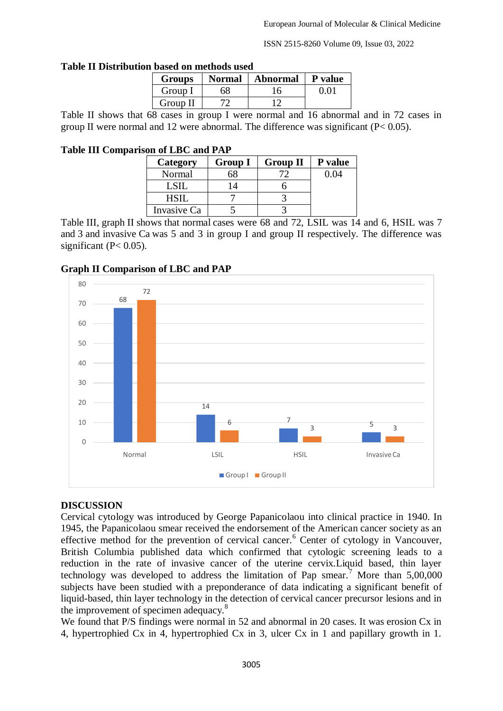ISSN 2515-8260 Volume 09, Issue 03, 2022

| t dased on methods used |               |          |                |  |  |
|-------------------------|---------------|----------|----------------|--|--|
| <b>Groups</b>           | <b>Normal</b> | Abnormal | <b>P</b> value |  |  |
| Group I                 | 68            | 16       | 0.01           |  |  |
| Group II                |               |          |                |  |  |

#### **Table II Distribution**

Table II shows that 68 cases in group I were normal and 16 abnormal and in 72 cases in group II were normal and 12 were abnormal. The difference was significant  $(P< 0.05)$ .

#### **Table III Comparison of LBC and PAP**

| Category    | <b>Group I</b> | <b>Group II</b> | <b>P</b> value |
|-------------|----------------|-----------------|----------------|
| Normal      |                |                 | 0.04           |
| LSIL        |                |                 |                |
| <b>HSIL</b> |                |                 |                |
| Invasive Ca |                |                 |                |

Table III, graph II shows that normal cases were 68 and 72, LSIL was 14 and 6, HSIL was 7 and 3 and invasive Ca was 5 and 3 in group I and group II respectively. The difference was significant ( $P < 0.05$ ).



#### **Graph II Comparison of LBC and PAP**

#### **DISCUSSION**

Cervical cytology was introduced by George Papanicolaou into clinical practice in 1940. In 1945, the Papanicolaou smear received the endorsement of the American cancer society as an effective method for the prevention of cervical cancer.<sup>6</sup> Center of cytology in Vancouver, British Columbia published data which confirmed that cytologic screening leads to a reduction in the rate of invasive cancer of the uterine cervix.Liquid based, thin layer technology was developed to address the limitation of Pap smear.<sup>7</sup> More than  $5,00,000$ subjects have been studied with a preponderance of data indicating a significant benefit of liquid-based, thin layer technology in the detection of cervical cancer precursor lesions and in the improvement of specimen adequacy.<sup>8</sup>

We found that P/S findings were normal in 52 and abnormal in 20 cases. It was erosion Cx in 4, hypertrophied Cx in 4, hypertrophied Cx in 3, ulcer Cx in 1 and papillary growth in 1.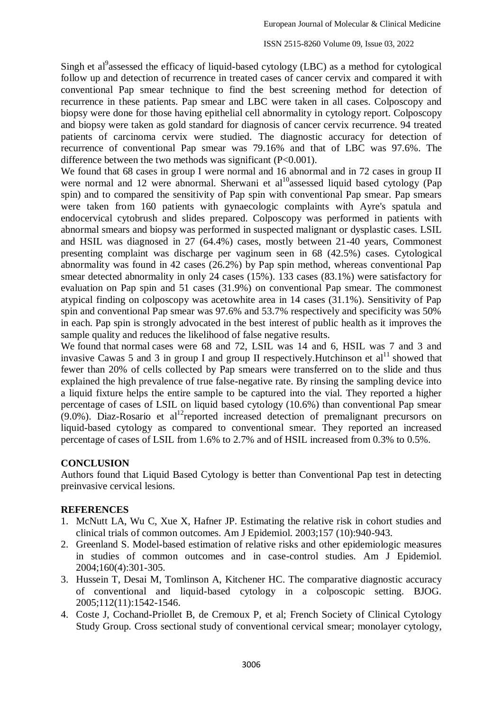Singh et al<sup>9</sup>assessed the efficacy of liquid-based cytology (LBC) as a method for cytological follow up and detection of recurrence in treated cases of cancer cervix and compared it with conventional Pap smear technique to find the best screening method for detection of recurrence in these patients. Pap smear and LBC were taken in all cases. Colposcopy and biopsy were done for those having epithelial cell abnormality in cytology report. Colposcopy and biopsy were taken as gold standard for diagnosis of cancer cervix recurrence. 94 treated patients of carcinoma cervix were studied. The diagnostic accuracy for detection of recurrence of conventional Pap smear was 79.16% and that of LBC was 97.6%. The difference between the two methods was significant (P<0.001).

We found that 68 cases in group I were normal and 16 abnormal and in 72 cases in group II were normal and 12 were abnormal. Sherwani et al<sup>10</sup>assessed liquid based cytology (Pap spin) and to compared the sensitivity of Pap spin with conventional Pap smear. Pap smears were taken from 160 patients with gynaecologic complaints with Ayre's spatula and endocervical cytobrush and slides prepared. Colposcopy was performed in patients with abnormal smears and biopsy was performed in suspected malignant or dysplastic cases. LSIL and HSIL was diagnosed in 27 (64.4%) cases, mostly between 21-40 years, Commonest presenting complaint was discharge per vaginum seen in 68 (42.5%) cases. Cytological abnormality was found in 42 cases (26.2%) by Pap spin method, whereas conventional Pap smear detected abnormality in only 24 cases (15%). 133 cases (83.1%) were satisfactory for evaluation on Pap spin and 51 cases (31.9%) on conventional Pap smear. The commonest atypical finding on colposcopy was acetowhite area in 14 cases (31.1%). Sensitivity of Pap spin and conventional Pap smear was 97.6% and 53.7% respectively and specificity was 50% in each. Pap spin is strongly advocated in the best interest of public health as it improves the sample quality and reduces the likelihood of false negative results.

We found that normal cases were 68 and 72, LSIL was 14 and 6, HSIL was 7 and 3 and invasive Cawas 5 and 3 in group I and group II respectively. Hutchinson et  $al<sup>11</sup>$  showed that fewer than 20% of cells collected by Pap smears were transferred on to the slide and thus explained the high prevalence of true false-negative rate. By rinsing the sampling device into a liquid fixture helps the entire sample to be captured into the vial. They reported a higher percentage of cases of LSIL on liquid based cytology (10.6%) than conventional Pap smear  $(9.0\%)$ . Diaz-Rosario et al<sup>12</sup>reported increased detection of premalignant precursors on liquid-based cytology as compared to conventional smear. They reported an increased percentage of cases of LSIL from 1.6% to 2.7% and of HSIL increased from 0.3% to 0.5%.

### **CONCLUSION**

Authors found that Liquid Based Cytology is better than Conventional Pap test in detecting preinvasive cervical lesions.

### **REFERENCES**

- 1. McNutt LA, Wu C, Xue X, Hafner JP. Estimating the relative risk in cohort studies and clinical trials of common outcomes. Am J Epidemiol. 2003;157 (10):940-943.
- 2. Greenland S. Model-based estimation of relative risks and other epidemiologic measures in studies of common outcomes and in case-control studies. Am J Epidemiol. 2004;160(4):301-305.
- 3. Hussein T, Desai M, Tomlinson A, Kitchener HC. The comparative diagnostic accuracy of conventional and liquid-based cytology in a colposcopic setting. BJOG. 2005;112(11):1542-1546.
- 4. Coste J, Cochand-Priollet B, de Cremoux P, et al; French Society of Clinical Cytology Study Group. Cross sectional study of conventional cervical smear; monolayer cytology,